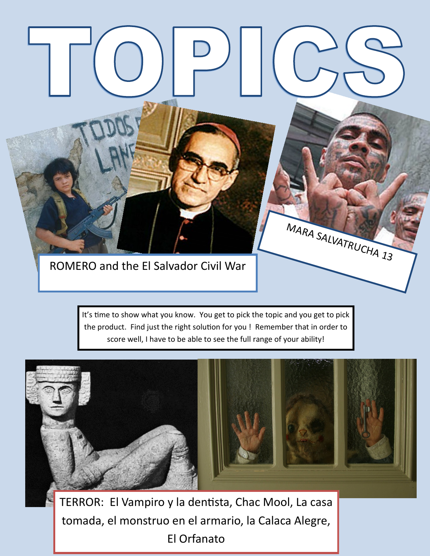ROMERO and the El Salvador Civil War

It's time to show what you know. You get to pick the topic and you get to pick the product. Find just the right solution for you ! Remember that in order to score well, I have to be able to see the full range of your ability!

MARA SALVATRUCHA 13



TERROR: El Vampiro y la dentista, Chac Mool, La casa tomada, el monstruo en el armario, la Calaca Alegre, El Orfanato